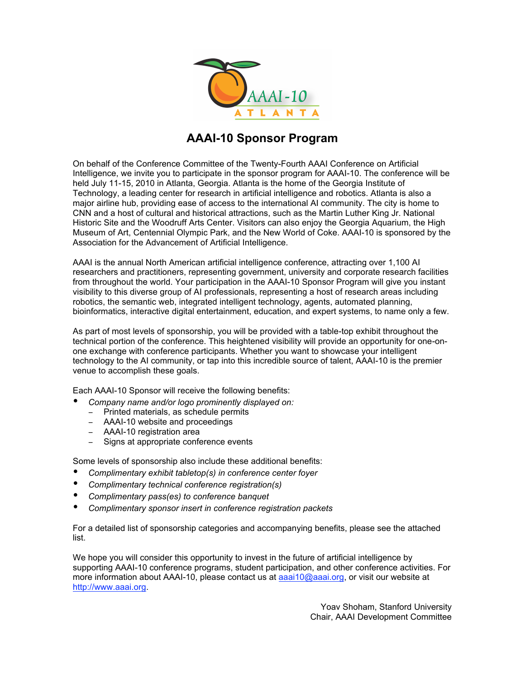

## **AAAI-10 Sponsor Program**

On behalf of the Conference Committee of the Twenty-Fourth AAAI Conference on Artificial Intelligence, we invite you to participate in the sponsor program for AAAI-10. The conference will be held July 11-15, 2010 in Atlanta, Georgia. Atlanta is the home of the Georgia Institute of Technology, a leading center for research in artificial intelligence and robotics. Atlanta is also a major airline hub, providing ease of access to the international AI community. The city is home to CNN and a host of cultural and historical attractions, such as the Martin Luther King Jr. National Historic Site and the Woodruff Arts Center. Visitors can also enjoy the Georgia Aquarium, the High Museum of Art, Centennial Olympic Park, and the New World of Coke. AAAI-10 is sponsored by the Association for the Advancement of Artificial Intelligence.

AAAI is the annual North American artificial intelligence conference, attracting over 1,100 AI researchers and practitioners, representing government, university and corporate research facilities from throughout the world. Your participation in the AAAI-10 Sponsor Program will give you instant visibility to this diverse group of AI professionals, representing a host of research areas including robotics, the semantic web, integrated intelligent technology, agents, automated planning, bioinformatics, interactive digital entertainment, education, and expert systems, to name only a few.

As part of most levels of sponsorship, you will be provided with a table-top exhibit throughout the technical portion of the conference. This heightened visibility will provide an opportunity for one-onone exchange with conference participants. Whether you want to showcase your intelligent technology to the AI community, or tap into this incredible source of talent, AAAI-10 is the premier venue to accomplish these goals.

Each AAAI-10 Sponsor will receive the following benefits:

- *Company name and/or logo prominently displayed on:*
	- − Printed materials, as schedule permits
	- − AAAI-10 website and proceedings
	- − AAAI-10 registration area
	- − Signs at appropriate conference events

Some levels of sponsorship also include these additional benefits:

- *Complimentary exhibit tabletop(s) in conference center foyer*
- *Complimentary technical conference registration(s)*
- *Complimentary pass(es) to conference banquet*
- *Complimentary sponsor insert in conference registration packets*

For a detailed list of sponsorship categories and accompanying benefits, please see the attached list.

We hope you will consider this opportunity to invest in the future of artificial intelligence by supporting AAAI-10 conference programs, student participation, and other conference activities. For more information about AAAI-10, please contact us at aaai10@aaai.org, or visit our website at http://www.aaai.org.

> Yoav Shoham, Stanford University Chair, AAAI Development Committee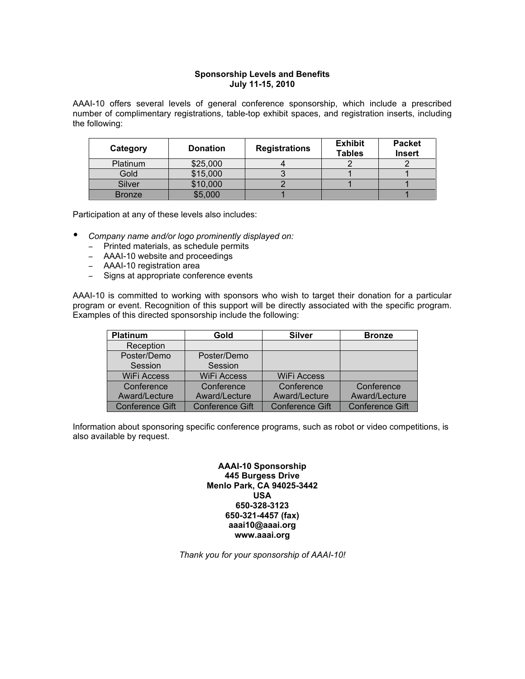## **Sponsorship Levels and Benefits July 11-15, 2010**

AAAI-10 offers several levels of general conference sponsorship, which include a prescribed number of complimentary registrations, table-top exhibit spaces, and registration inserts, including the following:

| Category        | <b>Donation</b> | <b>Registrations</b> | <b>Exhibit</b><br><b>Tables</b> | <b>Packet</b><br><b>Insert</b> |
|-----------------|-----------------|----------------------|---------------------------------|--------------------------------|
| <b>Platinum</b> | \$25,000        |                      |                                 |                                |
| Gold            | \$15,000        |                      |                                 |                                |
| Silver          | \$10,000        |                      |                                 |                                |
| <b>Bronze</b>   | \$5,000         |                      |                                 |                                |

Participation at any of these levels also includes:

- *Company name and/or logo prominently displayed on:*
	- − Printed materials, as schedule permits
	- − AAAI-10 website and proceedings
	- − AAAI-10 registration area
	- − Signs at appropriate conference events

AAAI-10 is committed to working with sponsors who wish to target their donation for a particular program or event. Recognition of this support will be directly associated with the specific program. Examples of this directed sponsorship include the following:

| <b>Platinum</b>    | Gold                   | <b>Silver</b>          | <b>Bronze</b>          |
|--------------------|------------------------|------------------------|------------------------|
| Reception          |                        |                        |                        |
| Poster/Demo        | Poster/Demo            |                        |                        |
| Session            | Session                |                        |                        |
| <b>WiFi Access</b> | <b>WiFi Access</b>     | <b>WiFi Access</b>     |                        |
| Conference         | Conference             | Conference             | <b>Conference</b>      |
| Award/Lecture      | Award/Lecture          | Award/Lecture          | Award/Lecture          |
| Conference Gift    | <b>Conference Gift</b> | <b>Conference Gift</b> | <b>Conference Gift</b> |

Information about sponsoring specific conference programs, such as robot or video competitions, is also available by request.

> **AAAI-10 Sponsorship 445 Burgess Drive Menlo Park, CA 94025-3442 USA 650-328-3123 650-321-4457 (fax) aaai10@aaai.org www.aaai.org**

*Thank you for your sponsorship of AAAI-10!*